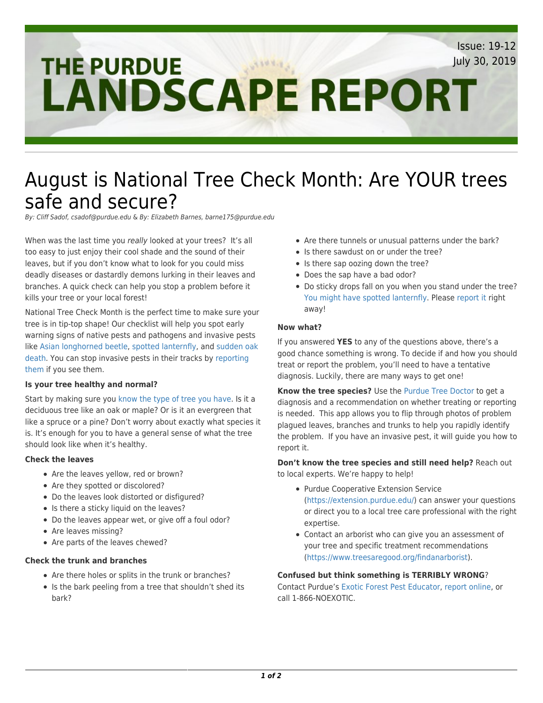## [Issue: 19-12](https://www.purduelandscapereport.org/issue/19-12) [July 30, 2019](https://www.purduelandscapereport.org/issue/19-12)**THE PURDUE LANDSCAPE REPORT**

# [August is National Tree Check Month: Are YOUR trees](https://www.purduelandscapereport.org/article/august-is-national-tree-check-month-are-your-trees-safe-and-secure/) [safe and secure?](https://www.purduelandscapereport.org/article/august-is-national-tree-check-month-are-your-trees-safe-and-secure/)

By: Cliff Sadof, csadof@purdue.edu & By: Elizabeth Barnes, barne175@purdue.edu

When was the last time you really looked at your trees? It's all too easy to just enjoy their cool shade and the sound of their leaves, but if you don't know what to look for you could miss deadly diseases or dastardly demons lurking in their leaves and branches. A quick check can help you stop a problem before it kills your tree or your local forest!

National Tree Check Month is the perfect time to make sure your tree is in tip-top shape! Our checklist will help you spot early warning signs of native pests and pathogens and invasive pests like [Asian longhorned beetle,](https://www.aphis.usda.gov/aphis/resources/pests-diseases/hungry-pests/the-threat/asian-longhorned-beetle/asian-longhorned-beetle) [spotted lanternfly](https://extension.psu.edu/spotted-lanternfly), and [sudden oak](https://www.purduelandscapereport.org//article/special-alert-sudden-oak-death/) [death.](https://www.purduelandscapereport.org//article/special-alert-sudden-oak-death/) You can stop invasive pests in their tracks by [reporting](http://reportinvasive.com) [them](http://reportinvasive.com) if you see them.

#### **Is your tree healthy and normal?**

Start by making sure you [know the type of tree you have.](https://www.arborday.org/trees/whattree/) Is it a deciduous tree like an oak or maple? Or is it an evergreen that like a spruce or a pine? Don't worry about exactly what species it is. It's enough for you to have a general sense of what the tree should look like when it's healthy.

## **Check the leaves**

- Are the leaves yellow, red or brown?
- Are they spotted or discolored?
- Do the leaves look distorted or disfigured?
- Is there a sticky liquid on the leaves?
- Do the leaves appear wet, or give off a foul odor?
- Are leaves missing?
- Are parts of the leaves chewed?

## **Check the trunk and branches**

- Are there holes or splits in the trunk or branches?
- Is the bark peeling from a tree that shouldn't shed its bark?
- Are there tunnels or unusual patterns under the bark?
- Is there sawdust on or under the tree?
- Is there sap oozing down the tree?
- Does the sap have a bad odor?
- Do sticky drops fall on you when you stand under the tree? [You might have spotted lanternfly](https://extension.psu.edu/spotted-lanternfly). Please [report it](http://reportinvasive.com) right away!

### **Now what?**

If you answered **YES** to any of the questions above, there's a good chance something is wrong. To decide if and how you should treat or report the problem, you'll need to have a tentative diagnosis. Luckily, there are many ways to get one!

**Know the tree species?** Use the [Purdue Tree Doctor](https://www.purdueplantdoctor.com/) to get a diagnosis and a recommendation on whether treating or reporting is needed. This app allows you to flip through photos of problem plagued leaves, branches and trunks to help you rapidly identify the problem. If you have an invasive pest, it will guide you how to report it.

**Don't know the tree species and still need help?** Reach out to local experts. We're happy to help!

- Purdue Cooperative Extension Service [\(https://extension.purdue.edu/\)](https://extension.purdue.edu/) can answer your questions or direct you to a local tree care professional with the right expertise.
- Contact an arborist who can give you an assessment of your tree and specific treatment recommendations [\(https://www.treesaregood.org/findanarborist](https://www.treesaregood.org/findanarborist)).

#### **Confused but think something is TERRIBLY WRONG**?

Contact Purdue's [Exotic Forest Pest Educator](https://ag.purdue.edu/entm/Pages/profile.aspx?strAlias=barne175&intDirDeptID=13), [report online,](http://reportinvasive.com) or call 1-866-NOEXOTIC.